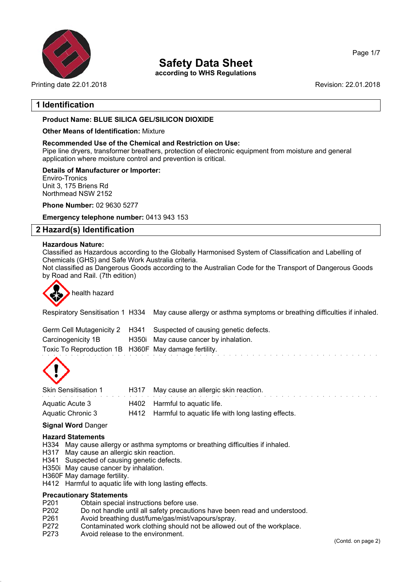

## **Safety Data Sheet**

**according to WHS Regulations**

Printing date 22.01.2018 Revision: 22.01.2018

Page 1/7

### **1 Identification**

### **Product Name: BLUE SILICA GEL/SILICON DIOXIDE**

### **Other Means of Identification:** Mixture

### **Recommended Use of the Chemical and Restriction on Use:**

Pipe line dryers, transformer breathers, protection of electronic equipment from moisture and general application where moisture control and prevention is critical.

### **Details of Manufacturer or Importer:**

Enviro-Tronics Unit 3, 175 Briens Rd Northmead NSW 2152

**Phone Number:** 02 9630 5277

**Emergency telephone number:** 0413 943 153

### **2 Hazard(s) Identification**

### **Hazardous Nature:**

Classified as Hazardous according to the Globally Harmonised System of Classification and Labelling of Chemicals (GHS) and Safe Work Australia criteria.

Not classified as Dangerous Goods according to the Australian Code for the Transport of Dangerous Goods by Road and Rail. (7th edition)



# health hazard

Respiratory Sensitisation 1 H334 May cause allergy or asthma symptoms or breathing difficulties if inhaled.

|                                                      | Germ Cell Mutagenicity 2 H341 Suspected of causing genetic defects. |
|------------------------------------------------------|---------------------------------------------------------------------|
| Carcinogenicity 1B                                   | H350i May cause cancer by inhalation.                               |
| Toxic To Reproduction 1B H360F May damage fertility. |                                                                     |



| <b>Skin Sensitisation 1</b> | H317 May cause an allergic skin reaction.               |
|-----------------------------|---------------------------------------------------------|
| Aquatic Acute 3             | H402 Harmful to aguatic life.                           |
| Aquatic Chronic 3           | H412 Harmful to aquatic life with long lasting effects. |

### **Signal Word** Danger

### **Hazard Statements**

H334 May cause allergy or asthma symptoms or breathing difficulties if inhaled.

- H317 May cause an allergic skin reaction.
- H341 Suspected of causing genetic defects.
- H350i May cause cancer by inhalation.
- H360F May damage fertility.
- H412 Harmful to aquatic life with long lasting effects.

### **Precautionary Statements**

- P201 Obtain special instructions before use.<br>P202 Do not handle until all safety precaution
- P202 Do not handle until all safety precautions have been read and understood.<br>P261 Avoid breathing dust/fume/gas/mist/vapours/spray.
- Avoid breathing dust/fume/gas/mist/vapours/spray.
- P272 Contaminated work clothing should not be allowed out of the workplace.
- P273 Avoid release to the environment.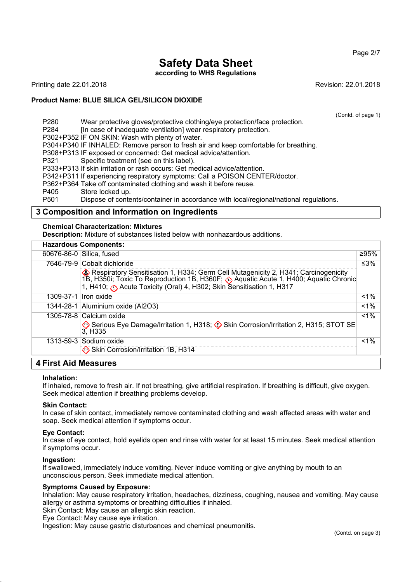Page 2/7

# **Safety Data Sheet**

**according to WHS Regulations**

Printing date 22.01.2018 Revision: 22.01.2018

### **Product Name: BLUE SILICA GEL/SILICON DIOXIDE**

(Contd. of page 1)

P280 Wear protective gloves/protective clothing/eye protection/face protection. P284 [In case of inadequate ventilation] wear respiratory protection. P302+P352 IF ON SKIN: Wash with plenty of water. P304+P340 IF INHALED: Remove person to fresh air and keep comfortable for breathing. P308+P313 IF exposed or concerned: Get medical advice/attention. P321 Specific treatment (see on this label). P333+P313 If skin irritation or rash occurs: Get medical advice/attention. P342+P311 If experiencing respiratory symptoms: Call a POISON CENTER/doctor. P362+P364 Take off contaminated clothing and wash it before reuse. P405 Store locked up.

P501 Dispose of contents/container in accordance with local/regional/national regulations.

### **3 Composition and Information on Ingredients**

### **Chemical Characterization: Mixtures**

**Description:** Mixture of substances listed below with nonhazardous additions.

|           | <b>Hazardous Components:</b>                                                                                                                                                                                                                                                      |        |
|-----------|-----------------------------------------------------------------------------------------------------------------------------------------------------------------------------------------------------------------------------------------------------------------------------------|--------|
|           | 60676-86-0 Silica, fused                                                                                                                                                                                                                                                          | ≥95%   |
|           | 7646-79-9 Cobalt dichloride<br>Respiratory Sensitisation 1, H334; Germ Cell Mutagenicity 2, H341; Carcinogenicity<br>1B, H350i; Toxic To Reproduction 1B, H360F; Aquatic Acute 1, H400; Aquatic Chronic<br>1, H410; (b) Acute Toxicity (Oral) 4, H302; Skin Sensitisation 1, H317 | ≤ $3%$ |
| 1309-37-1 | Iron oxide                                                                                                                                                                                                                                                                        | $1\%$  |
|           | 1344-28-1 Aluminium oxide (Al2O3)                                                                                                                                                                                                                                                 | $1\%$  |
|           | 1305-78-8 Calcium oxide<br>Serious Eye Damage/Irritation 1, H318; 1 Skin Corrosion/Irritation 2, H315; STOT SE<br>3, H335                                                                                                                                                         | $1\%$  |
|           | $1313 - 59 - 3$ Sodium oxide<br>Skin Corrosion/Irritation 1B, H314                                                                                                                                                                                                                | $1\%$  |
| .         |                                                                                                                                                                                                                                                                                   |        |

### **4 First Aid Measures**

### **Inhalation:**

If inhaled, remove to fresh air. If not breathing, give artificial respiration. If breathing is difficult, give oxygen. Seek medical attention if breathing problems develop.

### **Skin Contact:**

In case of skin contact, immediately remove contaminated clothing and wash affected areas with water and soap. Seek medical attention if symptoms occur.

### **Eye Contact:**

In case of eye contact, hold eyelids open and rinse with water for at least 15 minutes. Seek medical attention if symptoms occur.

### **Ingestion:**

If swallowed, immediately induce vomiting. Never induce vomiting or give anything by mouth to an unconscious person. Seek immediate medical attention.

### **Symptoms Caused by Exposure:**

Inhalation: May cause respiratory irritation, headaches, dizziness, coughing, nausea and vomiting. May cause allergy or asthma symptoms or breathing difficulties if inhaled.

Skin Contact: May cause an allergic skin reaction.

Eye Contact: May cause eye irritation.

Ingestion: May cause gastric disturbances and chemical pneumonitis.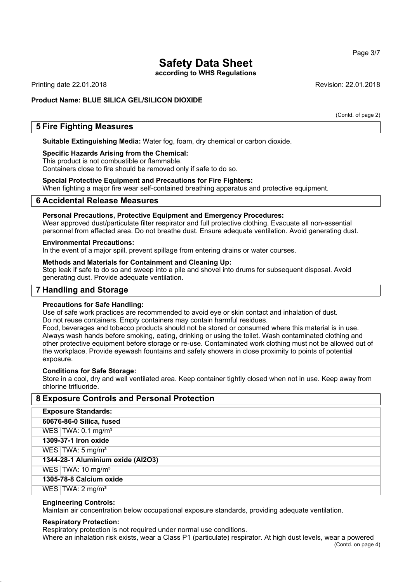# **Safety Data Sheet**

**according to WHS Regulations**

Printing date 22.01.2018 Revision: 22.01.2018

### **Product Name: BLUE SILICA GEL/SILICON DIOXIDE**

(Contd. of page 2)

### **5 Fire Fighting Measures**

**Suitable Extinguishing Media:** Water fog, foam, dry chemical or carbon dioxide.

### **Specific Hazards Arising from the Chemical:**

This product is not combustible or flammable.

Containers close to fire should be removed only if safe to do so.

### **Special Protective Equipment and Precautions for Fire Fighters:**

When fighting a major fire wear self-contained breathing apparatus and protective equipment.

### **6 Accidental Release Measures**

### **Personal Precautions, Protective Equipment and Emergency Procedures:**

Wear approved dust/particulate filter respirator and full protective clothing. Evacuate all non-essential personnel from affected area. Do not breathe dust. Ensure adequate ventilation. Avoid generating dust.

### **Environmental Precautions:**

In the event of a major spill, prevent spillage from entering drains or water courses.

### **Methods and Materials for Containment and Cleaning Up:**

Stop leak if safe to do so and sweep into a pile and shovel into drums for subsequent disposal. Avoid generating dust. Provide adequate ventilation.

### **7 Handling and Storage**

### **Precautions for Safe Handling:**

Use of safe work practices are recommended to avoid eye or skin contact and inhalation of dust. Do not reuse containers. Empty containers may contain harmful residues.

Food, beverages and tobacco products should not be stored or consumed where this material is in use. Always wash hands before smoking, eating, drinking or using the toilet. Wash contaminated clothing and other protective equipment before storage or re-use. Contaminated work clothing must not be allowed out of the workplace. Provide eyewash fountains and safety showers in close proximity to points of potential exposure.

### **Conditions for Safe Storage:**

Store in a cool, dry and well ventilated area. Keep container tightly closed when not in use. Keep away from chlorine trifluoride.

| <b>8 Exposure Controls and Personal Protection</b> |  |  |
|----------------------------------------------------|--|--|
| <b>Exposure Standards:</b>                         |  |  |
| 60676-86-0 Silica, fused                           |  |  |
| WES $\text{TWA: } 0.1 \text{ mg/m}^3$              |  |  |
| 1309-37-1 Iron oxide                               |  |  |
| WES   TWA: $5 \text{ mg/m}^3$                      |  |  |
| 1344-28-1 Aluminium oxide (Al2O3)                  |  |  |
| WES $\text{TWA: 10 mg/m}^3$                        |  |  |
| 1305-78-8 Calcium oxide                            |  |  |
| WES $\text{TWA: } 2 \text{ mg/m}^3$                |  |  |

### **Engineering Controls:**

Maintain air concentration below occupational exposure standards, providing adequate ventilation.

### **Respiratory Protection:**

Respiratory protection is not required under normal use conditions.

Where an inhalation risk exists, wear a Class P1 (particulate) respirator. At high dust levels, wear a powered (Contd. on page 4)

Page 3/7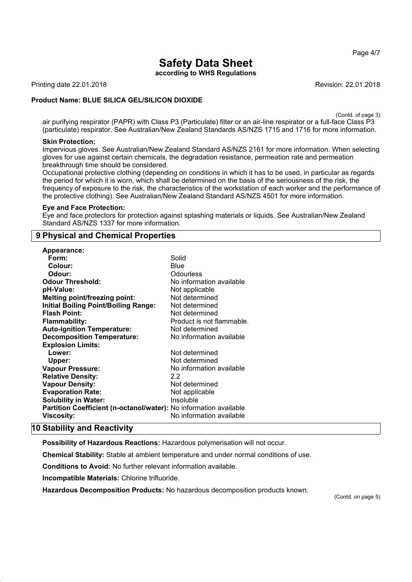Page 4/7

# **Safety Data Sheet**

**according to WHS Regulations**

Printing date 22.01.2018 **Revision: 22.01.2018** Revision: 22.01.2018

### **Product Name: BLUE SILICA GEL/SILICON DIOXIDE**

(Contd. of page 3)

air purifying respirator (PAPR) with Class P3 (Particulate) filter or an air-line respirator or a full-face Class P3 (particulate) respirator. See Australian/New Zealand Standards AS/NZS 1715 and 1716 for more information.

### **Skin Protection:**

Impervious gloves. See Australian/New Zealand Standard AS/NZS 2161 for more information. When selecting gloves for use against certain chemicals, the degradation resistance, permeation rate and permeation breakthrough time should be considered.

Occupational protective clothing (depending on conditions in which it has to be used, in particular as regards the period for which it is worn, which shall be determined on the basis of the seriousness of the risk, the frequency of exposure to the risk, the characteristics of the workstation of each worker and the performance of the protective clothing). See Australian/New Zealand Standard AS/NZS 4501 for more information.

### **Eye and Face Protection:**

Eye and face protectors for protection against splashing materials or liquids. See Australian/New Zealand Standard AS/NZS 1337 for more information.

### **9 Physical and Chemical Properties**

| <b>Appearance:</b>                                                       |                           |
|--------------------------------------------------------------------------|---------------------------|
| Form:                                                                    | Solid                     |
| Colour:                                                                  | Blue                      |
| Odour:                                                                   | Odourless                 |
| <b>Odour Threshold:</b>                                                  | No information available  |
| pH-Value:                                                                | Not applicable            |
| <b>Melting point/freezing point:</b>                                     | Not determined            |
| <b>Initial Boiling Point/Boiling Range:</b>                              | Not determined            |
| <b>Flash Point:</b>                                                      | Not determined            |
| <b>Flammability:</b>                                                     | Product is not flammable. |
| <b>Auto-ignition Temperature:</b>                                        | Not determined            |
| <b>Decomposition Temperature:</b>                                        | No information available  |
| <b>Explosion Limits:</b>                                                 |                           |
| Lower:                                                                   | Not determined            |
| Upper:                                                                   | Not determined            |
| <b>Vapour Pressure:</b>                                                  | No information available  |
| <b>Relative Density:</b>                                                 | 2.2                       |
| <b>Vapour Density:</b>                                                   | Not determined            |
| <b>Evaporation Rate:</b>                                                 | Not applicable            |
| <b>Solubility in Water:</b>                                              | Insoluble                 |
| <b>Partition Coefficient (n-octanol/water):</b> No information available |                           |
| Viscosity:                                                               | No information available  |

### **10 Stability and Reactivity**

**Possibility of Hazardous Reactions:** Hazardous polymerisation will not occur.

**Chemical Stability:** Stable at ambient temperature and under normal conditions of use.

**Conditions to Avoid:** No further relevant information available.

**Incompatible Materials:** Chlorine trifluoride.

**Hazardous Decomposition Products:** No hazardous decomposition products known.

(Contd. on page 5)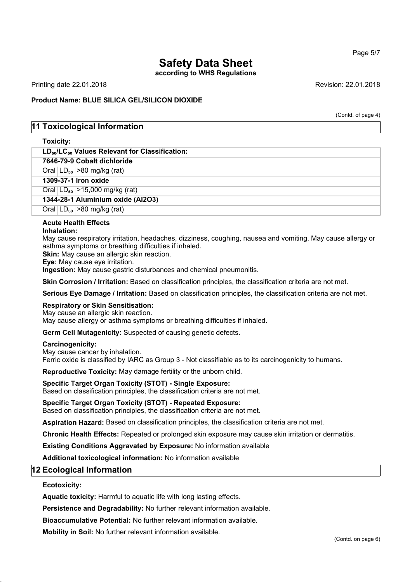### Page 5/7

# **Safety Data Sheet**

**according to WHS Regulations**

Printing date 22.01.2018 Revision: 22.01.2018

### **Product Name: BLUE SILICA GEL/SILICON DIOXIDE**

(Contd. of page 4)

### **11 Toxicological Information**

### **Toxicity:**

| .                                                     |
|-------------------------------------------------------|
| $LD_{so}/LC_{so}$ Values Relevant for Classification: |
| 7646-79-9 Cobalt dichloride                           |
| Oral $ LD_{50}  > 80$ mg/kg (rat)                     |
| 1309-37-1 Iron oxide                                  |
| Oral $ LD_{50}  > 15,000$ mg/kg (rat)                 |
| 1344-28-1 Aluminium oxide (Al2O3)                     |
| Oral $ LD_{50}  > 80$ mg/kg (rat)                     |
|                                                       |

### **Acute Health Effects**

### **Inhalation:**

May cause respiratory irritation, headaches, dizziness, coughing, nausea and vomiting. May cause allergy or asthma symptoms or breathing difficulties if inhaled.

**Skin:** May cause an allergic skin reaction.

**Eye:** May cause eye irritation.

**Ingestion:** May cause gastric disturbances and chemical pneumonitis.

**Skin Corrosion / Irritation:** Based on classification principles, the classification criteria are not met.

**Serious Eye Damage / Irritation:** Based on classification principles, the classification criteria are not met.

### **Respiratory or Skin Sensitisation:**

May cause an allergic skin reaction. May cause allergy or asthma symptoms or breathing difficulties if inhaled.

**Germ Cell Mutagenicity:** Suspected of causing genetic defects.

### **Carcinogenicity:**

May cause cancer by inhalation. Ferric oxide is classified by IARC as Group 3 - Not classifiable as to its carcinogenicity to humans.

**Reproductive Toxicity:** May damage fertility or the unborn child.

### **Specific Target Organ Toxicity (STOT) - Single Exposure:**

Based on classification principles, the classification criteria are not met.

### **Specific Target Organ Toxicity (STOT) - Repeated Exposure:**

Based on classification principles, the classification criteria are not met.

**Aspiration Hazard:** Based on classification principles, the classification criteria are not met.

**Chronic Health Effects:** Repeated or prolonged skin exposure may cause skin irritation or dermatitis.

**Existing Conditions Aggravated by Exposure:** No information available

**Additional toxicological information:** No information available

### **12 Ecological Information**

### **Ecotoxicity:**

**Aquatic toxicity:** Harmful to aquatic life with long lasting effects.

**Persistence and Degradability:** No further relevant information available.

**Bioaccumulative Potential:** No further relevant information available.

**Mobility in Soil:** No further relevant information available.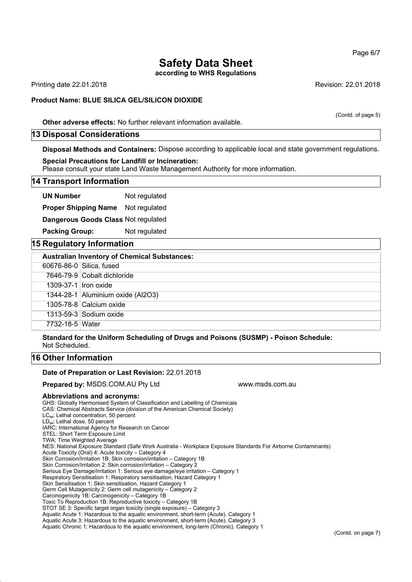### **Safety Data Sheet according to WHS Regulations**

Printing date 22.01.2018 Revision: 22.01.2018

### **Product Name: BLUE SILICA GEL/SILICON DIOXIDE**

**Other adverse effects:** No further relevant information available.

### **13 Disposal Considerations**

**Disposal Methods and Containers:** Dispose according to applicable local and state government regulations.

#### **Special Precautions for Landfill or Incineration:**

Please consult your state Land Waste Management Authority for more information.

### **14 Transport Information**

**UN Number** Not regulated

**Proper Shipping Name** Not regulated

**Dangerous Goods Class** Not regulated

**Packing Group:** Not regulated

### **15 Regulatory Information**

| <b>Australian Inventory of Chemical Substances:</b> |                                   |  |  |
|-----------------------------------------------------|-----------------------------------|--|--|
|                                                     | 60676-86-0 Silica, fused          |  |  |
|                                                     | 7646-79-9 Cobalt dichloride       |  |  |
| 1309-37-1 Iron oxide                                |                                   |  |  |
|                                                     | 1344-28-1 Aluminium oxide (Al2O3) |  |  |
|                                                     | 1305-78-8 Calcium oxide           |  |  |
|                                                     | $1313 - 59 - 3$ Sodium oxide      |  |  |
| 7732-18-5 Water                                     |                                   |  |  |

**Standard for the Uniform Scheduling of Drugs and Poisons (SUSMP) - Poison Schedule:** Not Scheduled.

### **16 Other Information**

#### **Date of Preparation or Last Revision:** 22.01.2018

**Prepared by: MSDS.COM.AU Pty Ltd Warehouse Communisty Communisty Communisty Prepared My MSDS.COM.AU Pty Ltd** 

### **Abbreviations and acronyms:**

GHS: Globally Harmonised System of Classification and Labelling of Chemicals CAS: Chemical Abstracts Service (division of the American Chemical Society) LC<sub>50</sub>: Lethal concentration, 50 percent LD<sub>50</sub>: Lethal dose, 50 percent IARC: International Agency for Research on Cancer STEL: Short Term Exposure Limit TWA: Time Weighted Average NES: National Exposure Standard (Safe Work Australia - Workplace Exposure Standards For Airborne Contaminants) Acute Toxicity (Oral) 4: Acute toxicity – Category 4 Skin Corrosion/Irritation 1B: Skin corrosion/irritation – Category 1B Skin Corrosion/Irritation 2: Skin corrosion/irritation – Category 2 Serious Eye Damage/Irritation 1: Serious eye damage/eye irritation – Category 1 Respiratory Sensitisation 1: Respiratory sensitisation, Hazard Category 1 Skin Sensitisation 1: Skin sensitisation, Hazard Category 1 Germ Cell Mutagenicity 2: Germ cell mutagenicity – Category 2 Carcinogenicity 1B: Carcinogenicity – Category 1B Toxic To Reproduction 1B: Reproductive toxicity – Category 1B STOT SE 3: Specific target organ toxicity (single exposure) – Category 3 Aquatic Acute 1: Hazardous to the aquatic environment, short-term (Acute). Category 1 Aquatic Acute 3: Hazardous to the aquatic environment, short-term (Acute). Category 3 Aquatic Chronic 1: Hazardous to the aquatic environment, long-term (Chronic). Category 1

Page 6/7

(Contd. of page 5)

(Contd. on page 7)